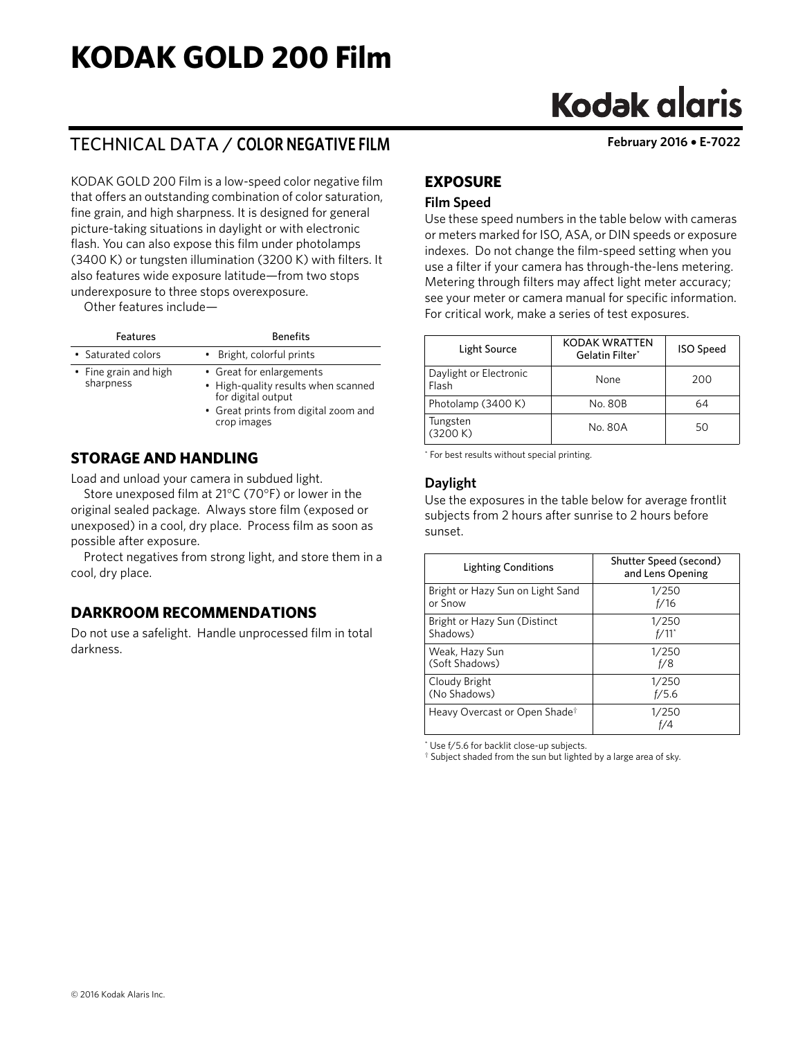## **KODAK GOLD 200 Film**

# **Kodak alaris**

## TECHNICAL DATA / **COLOR NEGATIVE FILM February 2016** • **E-7022**

KODAK GOLD 200 Film is a low-speed color negative film that offers an outstanding combination of color saturation, fine grain, and high sharpness. It is designed for general picture-taking situations in daylight or with electronic flash. You can also expose this film under photolamps (3400 K) or tungsten illumination (3200 K) with filters. It also features wide exposure latitude—from two stops underexposure to three stops overexposure.

Other features include—

| <b>Features</b>                    | <b>Benefits</b>                                                                                                                              |
|------------------------------------|----------------------------------------------------------------------------------------------------------------------------------------------|
| • Saturated colors                 | • Bright, colorful prints                                                                                                                    |
| • Fine grain and high<br>sharpness | • Great for enlargements<br>• High-quality results when scanned<br>for digital output<br>• Great prints from digital zoom and<br>crop images |

## **STORAGE AND HANDLING**

Load and unload your camera in subdued light.

Store unexposed film at 21°C (70°F) or lower in the original sealed package. Always store film (exposed or unexposed) in a cool, dry place. Process film as soon as possible after exposure.

Protect negatives from strong light, and store them in a cool, dry place.

## **DARKROOM RECOMMENDATIONS**

Do not use a safelight. Handle unprocessed film in total darkness.

## **EXPOSURE**

#### **Film Speed**

Use these speed numbers in the table below with cameras or meters marked for ISO, ASA, or DIN speeds or exposure indexes. Do not change the film-speed setting when you use a filter if your camera has through-the-lens metering. Metering through filters may affect light meter accuracy; see your meter or camera manual for specific information. For critical work, make a series of test exposures.

| Light Source                    | <b>KODAK WRATTEN</b><br>Gelatin Filter* | <b>ISO Speed</b> |
|---------------------------------|-----------------------------------------|------------------|
| Daylight or Electronic<br>Flash | None                                    | 200              |
| Photolamp (3400 K)              | No. 80B                                 | 64               |
| Tungsten<br>(3200 K)            | No. 80A                                 | 50               |

\* For best results without special printing.

#### **Daylight**

Use the exposures in the table below for average frontlit subjects from 2 hours after sunrise to 2 hours before sunset.

| <b>Lighting Conditions</b>                | Shutter Speed (second)<br>and Lens Opening |
|-------------------------------------------|--------------------------------------------|
| Bright or Hazy Sun on Light Sand          | 1/250                                      |
| or Snow                                   | f/16                                       |
| Bright or Hazy Sun (Distinct              | 1/250                                      |
| Shadows)                                  | $f/11$ <sup>*</sup>                        |
| Weak, Hazy Sun                            | 1/250                                      |
| (Soft Shadows)                            | f/8                                        |
| Cloudy Bright                             | 1/250                                      |
| (No Shadows)                              | f/5.6                                      |
| Heavy Overcast or Open Shade <sup>†</sup> | 1/250<br>f/4                               |

\* Use f/5.6 for backlit close-up subjects.

† Subject shaded from the sun but lighted by a large area of sky.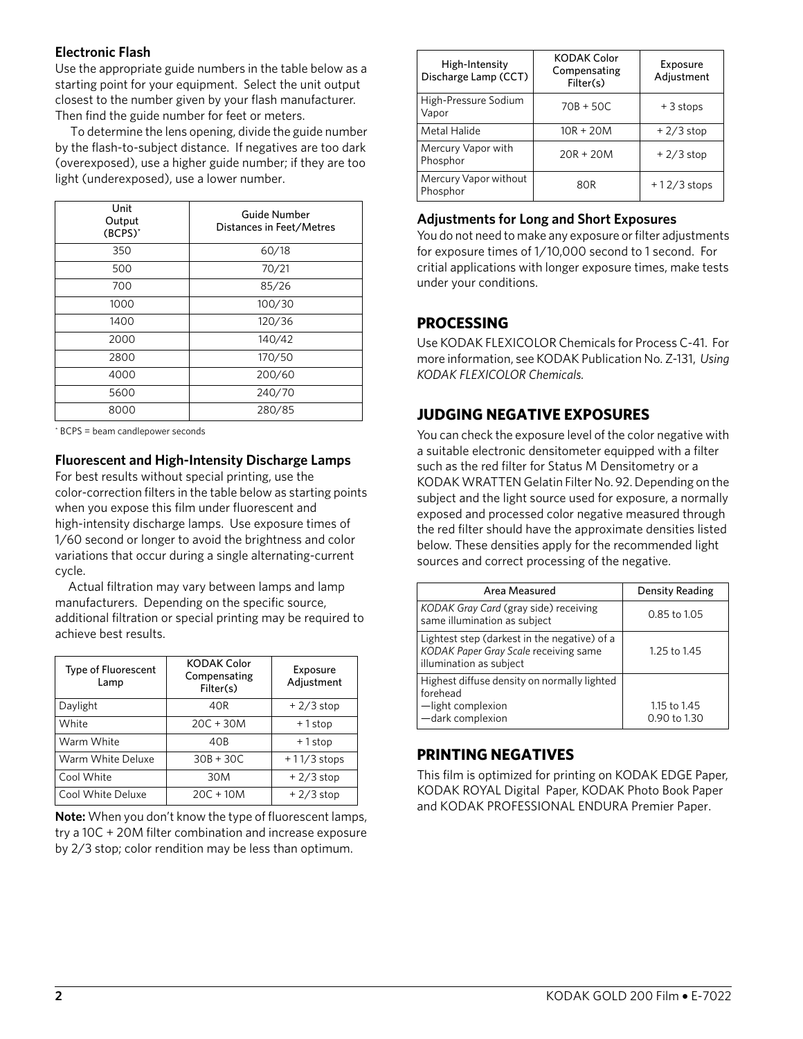#### **Electronic Flash**

Use the appropriate guide numbers in the table below as a starting point for your equipment. Select the unit output closest to the number given by your flash manufacturer. Then find the guide number for feet or meters.

 To determine the lens opening, divide the guide number by the flash-to-subject distance. If negatives are too dark (overexposed), use a higher guide number; if they are too light (underexposed), use a lower number.

| Unit<br>Output<br>$(BCPS)^*$ | <b>Guide Number</b><br>Distances in Feet/Metres |
|------------------------------|-------------------------------------------------|
| 350                          | 60/18                                           |
| 500                          | 70/21                                           |
| 700                          | 85/26                                           |
| 1000                         | 100/30                                          |
| 1400                         | 120/36                                          |
| 2000                         | 140/42                                          |
| 2800                         | 170/50                                          |
| 4000                         | 200/60                                          |
| 5600                         | 240/70                                          |
| 8000                         | 280/85                                          |

\* BCPS = beam candlepower seconds

#### **Fluorescent and High-Intensity Discharge Lamps**

For best results without special printing, use the color-correction filters in the table below as starting points when you expose this film under fluorescent and high-intensity discharge lamps. Use exposure times of 1/60 second or longer to avoid the brightness and color variations that occur during a single alternating-current cycle.

Actual filtration may vary between lamps and lamp manufacturers. Depending on the specific source, additional filtration or special printing may be required to achieve best results.

| <b>Type of Fluorescent</b><br>Lamp | KODAK Color<br>Compensating<br>Filter(s) | Exposure<br>Adjustment |
|------------------------------------|------------------------------------------|------------------------|
| Daylight                           | 40R                                      | $+2/3$ stop            |
| White                              | $20C + 30M$                              | +1stop                 |
| Warm White                         | 40B                                      | $+1$ stop              |
| Warm White Deluxe                  | $30B + 30C$                              | $+11/3$ stops          |
| Cool White                         | 30M                                      | $+2/3$ stop            |
| Cool White Deluxe                  | $20C + 10M$                              | $+2/3$ stop            |

**Note:** When you don't know the type of fluorescent lamps, try a 10C + 20M filter combination and increase exposure by 2/3 stop; color rendition may be less than optimum.

| High-Intensity<br>Discharge Lamp (CCT) | <b>KODAK Color</b><br>Compensating<br>Filter(s) | Exposure<br>Adjustment |
|----------------------------------------|-------------------------------------------------|------------------------|
| High-Pressure Sodium<br>Vapor          | $70B + 50C$                                     | $+3$ stops             |
| Metal Halide                           | $10R + 20M$                                     | $+2/3$ stop            |
| Mercury Vapor with<br>Phosphor         | $20R + 20M$                                     | $+2/3$ stop            |
| Mercury Vapor without<br>Phosphor      | 80R                                             | $+12/3$ stops          |

#### **Adjustments for Long and Short Exposures**

You do not need to make any exposure or filter adjustments for exposure times of 1/10,000 second to 1 second. For critial applications with longer exposure times, make tests under your conditions.

### **PROCESSING**

Use KODAK FLEXICOLOR Chemicals for Process C-41. For more information, see KODAK Publication No. Z-131, *Using KODAK FLEXICOLOR Chemicals.*

## **JUDGING NEGATIVE EXPOSURES**

You can check the exposure level of the color negative with a suitable electronic densitometer equipped with a filter such as the red filter for Status M Densitometry or a KODAK WRATTEN Gelatin Filter No. 92. Depending on the subject and the light source used for exposure, a normally exposed and processed color negative measured through the red filter should have the approximate densities listed below. These densities apply for the recommended light sources and correct processing of the negative.

| Area Measured                                                                                                    | Density Reading              |
|------------------------------------------------------------------------------------------------------------------|------------------------------|
| KODAK Gray Card (gray side) receiving<br>same illumination as subject                                            | 0.85 to 1.05                 |
| Lightest step (darkest in the negative) of a<br>KODAK Paper Gray Scale receiving same<br>illumination as subject | 1.25 to 1.45                 |
| Highest diffuse density on normally lighted<br>forehead<br>-light complexion<br>-dark complexion                 | 1.15 to 1.45<br>0.90 to 1.30 |

## **PRINTING NEGATIVES**

This film is optimized for printing on KODAK EDGE Paper, KODAK ROYAL Digital Paper, KODAK Photo Book Paper and KODAK PROFESSIONAL ENDURA Premier Paper.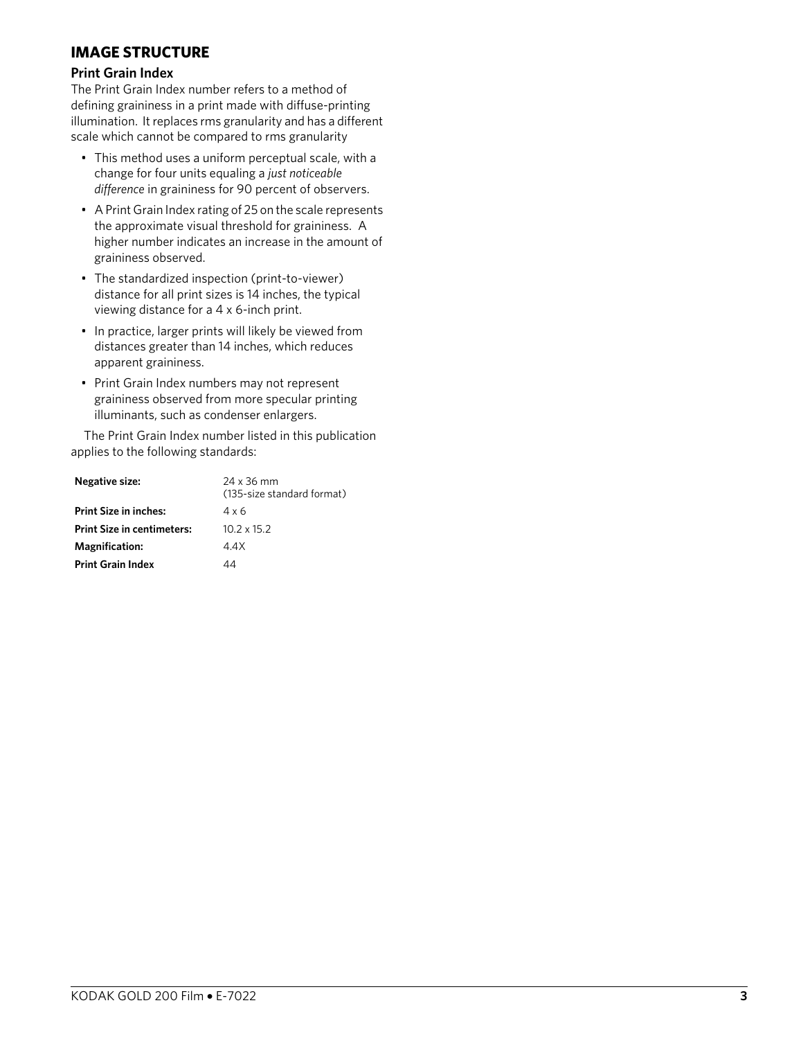## **IMAGE STRUCTURE**

#### **Print Grain Index**

The Print Grain Index number refers to a method of defining graininess in a print made with diffuse-printing illumination. It replaces rms granularity and has a different scale which cannot be compared to rms granularity

- This method uses a uniform perceptual scale, with a change for four units equaling a *just noticeable difference* in graininess for 90 percent of observers.
- A Print Grain Index rating of 25 on the scale represents the approximate visual threshold for graininess. A higher number indicates an increase in the amount of graininess observed.
- The standardized inspection (print-to-viewer) distance for all print sizes is 14 inches, the typical viewing distance for a 4 x 6-inch print.
- In practice, larger prints will likely be viewed from distances greater than 14 inches, which reduces apparent graininess.
- Print Grain Index numbers may not represent graininess observed from more specular printing illuminants, such as condenser enlargers.

The Print Grain Index number listed in this publication applies to the following standards:

| (135-size standard format) |
|----------------------------|
| 4 x 6                      |
| $10.2 \times 15.2$         |
| 4.4X                       |
| 44                         |
|                            |